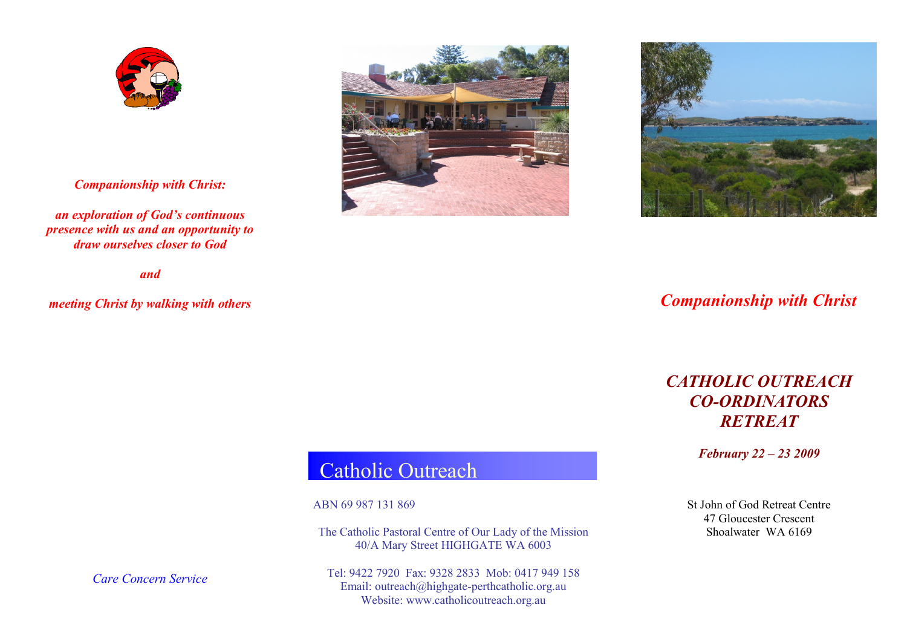

*Companionship with Christ:*

*an exploration of God's continuous presence with us and an opportunity to draw ourselves closer to God*

*and*

*meeting Christ by walking with others* 





## *Companionship with Christ*

# *CATHOLIC OUTREACH CO-ORDINATORS RETREAT*

*February 22 – 23 2009*

# Catholic Outreach

ABN 69 987 131 869

The Catholic Pastoral Centre of Our Lady of the Mission 40/A Mary Street HIGHGATE WA 6003

Tel: 9422 7920 Fax: 9328 2833 Mob: 0417 949 158 Email: outreach@highgate-perthcatholic.org.au Website: www.catholicoutreach.org.au

St John of God Retreat Centre 47 Gloucester Crescent Shoalwater WA 6169

*Care Concern Service*